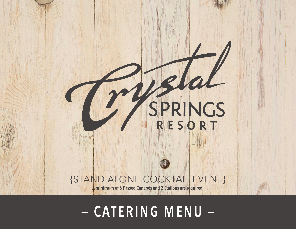# SPRINGS

## {STAND ALONE COCKTAIL EVENT}

**A minimum of 6 Passed Canapés and 2 Stations are required.**

#### **THECRYSTALSPRINGSRESORT.COM | SUSSEX COUNTY, NEW JERSEY | 2022 — CATERING MENU —**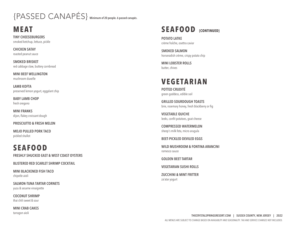# {PASSED CANAPÉS} **Minimum of 20 people. 6 passed canapés.**

**MEAT**

**TINY CHEESEBURGERS** smoked ketchup, lettuce, pickle

**CHICKEN SATAY** roasted peanut sauce

**SMOKED BRISKET** red cabbage slaw, buttery cornbread

**MINI BEEF WELLINGTON** mushroom duxelle

**LAMB KOFTA** preserved lemon yogurt, eggplant chip

**BABY LAMB CHOP** fresh oregano

**MINI FRANKS** dijon, flakey croissant dough

#### **PROSCIUTTO & FRESH MELON**

**MOJO PULLED PORK TACO** pickled shallot

## **SEAFOOD**

**FRESHLY SHUCKED EAST & WEST COAST OYSTERS**

**BLISTERED RED SCARLET SHRIMP COCKTAIL**

**MINI BLACKENED FISH TACO** chipotle aioli

**SALMON-TUNA TARTAR CORNETS** yuzu & sesame vinaigrette

**COCONUT SHRIMP** thai chili sweet & sour

**MINI CRAB CAKES** tarragon aioli



**POTATO LATKE** crème fraÎche, osettra caviar

**SMOKED SALMON** horseradish crème, crispy potato chip

**MINI LOBSTER ROLLS** butter, chives

#### **VEGETARIAN**

**POTTED CRUDITÉ** green goddess, edible soil

**GRILLED SOURDOUGH TOASTS** brie, rosemary honey, fresh blackberry or fig

**VEGETABLE QUICHE** leeks, confit potatoes, goat cheese

**COMPRESSED WATERMELON** sheep's milk feta, micro arugula

**BEET-PICKLED DEVILED EGGS**

**WILD MUSHROOM & FONTINA ARANCINI** romesco sauce

**GOLDEN BEET TARTAR**

**VEGETARIAN SUSHI ROLLS**

**ZUCCHINI & MINT FRITTER** za'atar yogurt